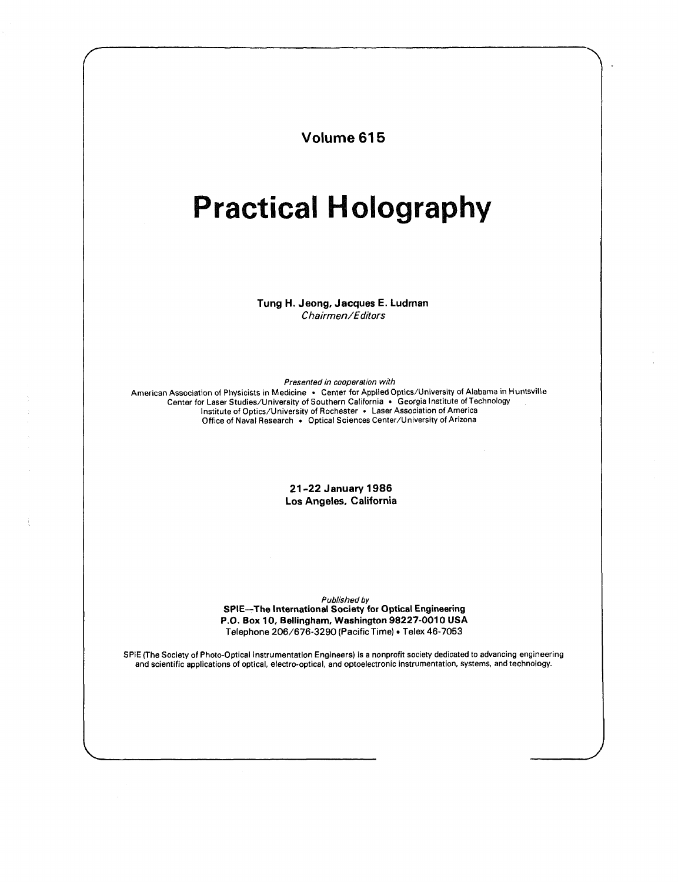Volume 615

## Practical Holography

Tung H. Jeong, Jacques E. Ludman Chairmen/Editors

Presented in cooperation with

American Association of Physicists in Medicine • Center for Applied Optics/University of Alabama in Huntsville Center for Laser Studies/University of Southern California • Georgia Institute of Technology Institute of Optics/University of Rochester • Laser Association of America Office of Naval Research • Optical Sciences Center/University of Arizona

> 21-22 January 1986 Los Angeles, California

Published by SPIE—The International Society for Optical Engineering P.O. Box 10, Bellingham, Washington 98227-0010 USA Telephone 206/676-3290 (Pacific Time) • Telex 46-7053

SPIE (The Society of Photo-Optical Instrumentation Engineers) is <sup>a</sup> nonprofit society dedicated to advancing engineering and scientific applications of optical, electro-optical, and optoelectronic instrumentation, systems, and technology.